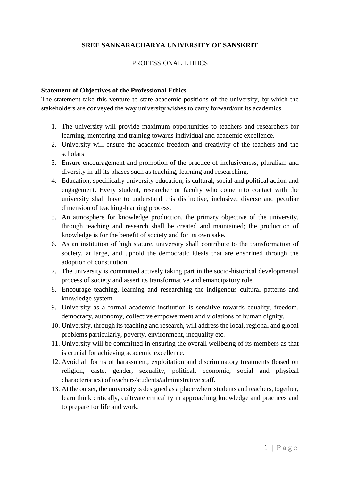### **SREE SANKARACHARYA UNIVERSITY OF SANSKRIT**

#### PROFESSIONAL ETHICS

#### **Statement of Objectives of the Professional Ethics**

The statement take this venture to state academic positions of the university, by which the stakeholders are conveyed the way university wishes to carry forward/out its academics.

- 1. The university will provide maximum opportunities to teachers and researchers for learning, mentoring and training towards individual and academic excellence.
- 2. University will ensure the academic freedom and creativity of the teachers and the scholars
- 3. Ensure encouragement and promotion of the practice of inclusiveness, pluralism and diversity in all its phases such as teaching, learning and researching.
- 4. Education, specifically university education, is cultural, social and political action and engagement. Every student, researcher or faculty who come into contact with the university shall have to understand this distinctive, inclusive, diverse and peculiar dimension of teaching-learning process.
- 5. An atmosphere for knowledge production, the primary objective of the university, through teaching and research shall be created and maintained; the production of knowledge is for the benefit of society and for its own sake.
- 6. As an institution of high stature, university shall contribute to the transformation of society, at large, and uphold the democratic ideals that are enshrined through the adoption of constitution.
- 7. The university is committed actively taking part in the socio-historical developmental process of society and assert its transformative and emancipatory role.
- 8. Encourage teaching, learning and researching the indigenous cultural patterns and knowledge system.
- 9. University as a formal academic institution is sensitive towards equality, freedom, democracy, autonomy, collective empowerment and violations of human dignity.
- 10. University, through its teaching and research, will address the local, regional and global problems particularly, poverty, environment, inequality etc.
- 11. University will be committed in ensuring the overall wellbeing of its members as that is crucial for achieving academic excellence.
- 12. Avoid all forms of harassment, exploitation and discriminatory treatments (based on religion, caste, gender, sexuality, political, economic, social and physical characteristics) of teachers/students/administrative staff.
- 13. At the outset, the university is designed as a place where students and teachers, together, learn think critically, cultivate criticality in approaching knowledge and practices and to prepare for life and work.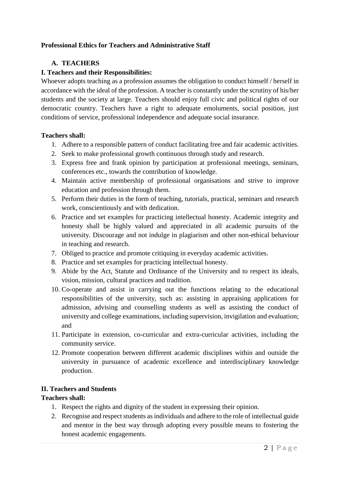### **Professional Ethics for Teachers and Administrative Staff**

### **A. TEACHERS**

### **I. Teachers and their Responsibilities:**

Whoever adopts teaching as a profession assumes the obligation to conduct himself / herself in accordance with the ideal of the profession. A teacher is constantly under the scrutiny of his/her students and the society at large. Teachers should enjoy full civic and political rights of our democratic country. Teachers have a right to adequate emoluments, social position, just conditions of service, professional independence and adequate social insurance.

#### **Teachers shall:**

- 1. Adhere to a responsible pattern of conduct facilitating free and fair academic activities.
- 2. Seek to make professional growth continuous through study and research.
- 3. Express free and frank opinion by participation at professional meetings, seminars, conferences etc., towards the contribution of knowledge.
- 4. Maintain active membership of professional organisations and strive to improve education and profession through them.
- 5. Perform their duties in the form of teaching, tutorials, practical, seminars and research work, conscientiously and with dedication.
- 6. Practice and set examples for practicing intellectual honesty. Academic integrity and honesty shall be highly valued and appreciated in all academic pursuits of the university. Discourage and not indulge in plagiarism and other non-ethical behaviour in teaching and research.
- 7. Obliged to practice and promote critiquing in everyday academic activities.
- 8. Practice and set examples for practicing intellectual honesty.
- 9. Abide by the Act, Statute and Ordinance of the University and to respect its ideals, vision, mission, cultural practices and tradition.
- 10. Co-operate and assist in carrying out the functions relating to the educational responsibilities of the university, such as: assisting in appraising applications for admission, advising and counselling students as well as assisting the conduct of university and college examinations, including supervision, invigilation and evaluation; and
- 11. Participate in extension, co-curricular and extra-curricular activities, including the community service.
- 12. Promote cooperation between different academic disciplines within and outside the university in pursuance of academic excellence and interdisciplinary knowledge production.

### **II. Teachers and Students**

### **Teachers shall:**

- 1. Respect the rights and dignity of the student in expressing their opinion.
- 2. Recognise and respect students as individuals and adhere to the role of intellectual guide and mentor in the best way through adopting every possible means to fostering the honest academic engagements.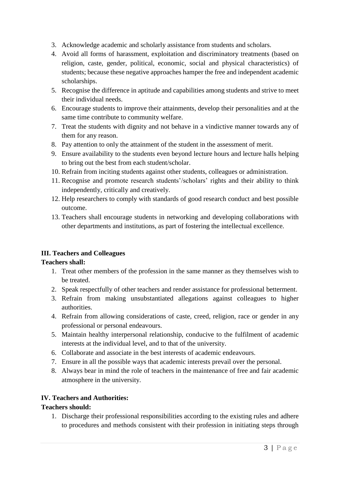- 3. Acknowledge academic and scholarly assistance from students and scholars.
- 4. Avoid all forms of harassment, exploitation and discriminatory treatments (based on religion, caste, gender, political, economic, social and physical characteristics) of students; because these negative approaches hamper the free and independent academic scholarships.
- 5. Recognise the difference in aptitude and capabilities among students and strive to meet their individual needs.
- 6. Encourage students to improve their attainments, develop their personalities and at the same time contribute to community welfare.
- 7. Treat the students with dignity and not behave in a vindictive manner towards any of them for any reason.
- 8. Pay attention to only the attainment of the student in the assessment of merit.
- 9. Ensure availability to the students even beyond lecture hours and lecture halls helping to bring out the best from each student/scholar.
- 10. Refrain from inciting students against other students, colleagues or administration.
- 11. Recognise and promote research students'/scholars' rights and their ability to think independently, critically and creatively.
- 12. Help researchers to comply with standards of good research conduct and best possible outcome.
- 13. Teachers shall encourage students in networking and developing collaborations with other departments and institutions, as part of fostering the intellectual excellence.

### **III. Teachers and Colleagues**

### **Teachers shall:**

- 1. Treat other members of the profession in the same manner as they themselves wish to be treated.
- 2. Speak respectfully of other teachers and render assistance for professional betterment.
- 3. Refrain from making unsubstantiated allegations against colleagues to higher authorities.
- 4. Refrain from allowing considerations of caste, creed, religion, race or gender in any professional or personal endeavours.
- 5. Maintain healthy interpersonal relationship, conducive to the fulfilment of academic interests at the individual level, and to that of the university.
- 6. Collaborate and associate in the best interests of academic endeavours.
- 7. Ensure in all the possible ways that academic interests prevail over the personal.
- 8. Always bear in mind the role of teachers in the maintenance of free and fair academic atmosphere in the university.

### **IV. Teachers and Authorities:**

### **Teachers should:**

1. Discharge their professional responsibilities according to the existing rules and adhere to procedures and methods consistent with their profession in initiating steps through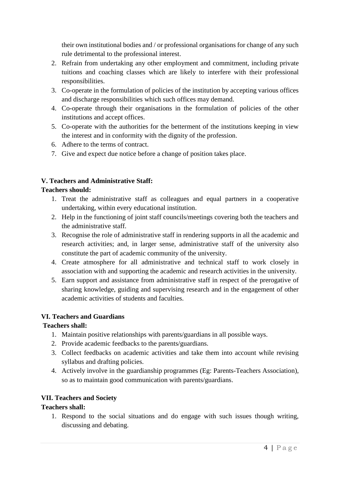their own institutional bodies and / or professional organisations for change of any such rule detrimental to the professional interest.

- 2. Refrain from undertaking any other employment and commitment, including private tuitions and coaching classes which are likely to interfere with their professional responsibilities.
- 3. Co-operate in the formulation of policies of the institution by accepting various offices and discharge responsibilities which such offices may demand.
- 4. Co-operate through their organisations in the formulation of policies of the other institutions and accept offices.
- 5. Co-operate with the authorities for the betterment of the institutions keeping in view the interest and in conformity with the dignity of the profession.
- 6. Adhere to the terms of contract.
- 7. Give and expect due notice before a change of position takes place.

# **V. Teachers and Administrative Staff:**

### **Teachers should:**

- 1. Treat the administrative staff as colleagues and equal partners in a cooperative undertaking, within every educational institution.
- 2. Help in the functioning of joint staff councils/meetings covering both the teachers and the administrative staff.
- 3. Recognise the role of administrative staff in rendering supports in all the academic and research activities; and, in larger sense, administrative staff of the university also constitute the part of academic community of the university.
- 4. Create atmosphere for all administrative and technical staff to work closely in association with and supporting the academic and research activities in the university.
- 5. Earn support and assistance from administrative staff in respect of the prerogative of sharing knowledge, guiding and supervising research and in the engagement of other academic activities of students and faculties.

### **VI. Teachers and Guardians**

# **Teachers shall:**

- 1. Maintain positive relationships with parents/guardians in all possible ways.
- 2. Provide academic feedbacks to the parents/guardians.
- 3. Collect feedbacks on academic activities and take them into account while revising syllabus and drafting policies.
- 4. Actively involve in the guardianship programmes (Eg: Parents-Teachers Association), so as to maintain good communication with parents/guardians.

# **VII. Teachers and Society**

# **Teachers shall:**

1. Respond to the social situations and do engage with such issues though writing, discussing and debating.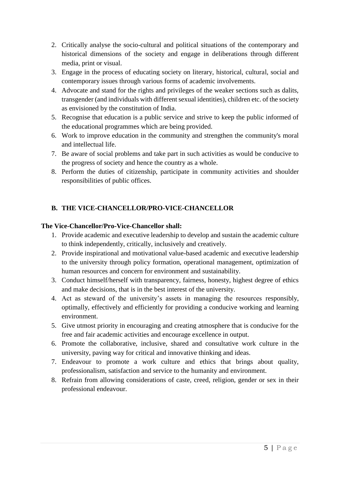- 2. Critically analyse the socio-cultural and political situations of the contemporary and historical dimensions of the society and engage in deliberations through different media, print or visual.
- 3. Engage in the process of educating society on literary, historical, cultural, social and contemporary issues through various forms of academic involvements.
- 4. Advocate and stand for the rights and privileges of the weaker sections such as dalits, transgender (and individuals with different sexual identities), children etc. of the society as envisioned by the constitution of India.
- 5. Recognise that education is a public service and strive to keep the public informed of the educational programmes which are being provided.
- 6. Work to improve education in the community and strengthen the community's moral and intellectual life.
- 7. Be aware of social problems and take part in such activities as would be conducive to the progress of society and hence the country as a whole.
- 8. Perform the duties of citizenship, participate in community activities and shoulder responsibilities of public offices.

# **B. THE VICE-CHANCELLOR/PRO-VICE-CHANCELLOR**

#### **The Vice-Chancellor/Pro-Vice-Chancellor shall:**

- 1. Provide academic and executive leadership to develop and sustain the academic culture to think independently, critically, inclusively and creatively.
- 2. Provide inspirational and motivational value-based academic and executive leadership to the university through policy formation, operational management, optimization of human resources and concern for environment and sustainability.
- 3. Conduct himself/herself with transparency, fairness, honesty, highest degree of ethics and make decisions, that is in the best interest of the university.
- 4. Act as steward of the university's assets in managing the resources responsibly, optimally, effectively and efficiently for providing a conducive working and learning environment.
- 5. Give utmost priority in encouraging and creating atmosphere that is conducive for the free and fair academic activities and encourage excellence in output.
- 6. Promote the collaborative, inclusive, shared and consultative work culture in the university, paving way for critical and innovative thinking and ideas.
- 7. Endeavour to promote a work culture and ethics that brings about quality, professionalism, satisfaction and service to the humanity and environment.
- 8. Refrain from allowing considerations of caste, creed, religion, gender or sex in their professional endeavour.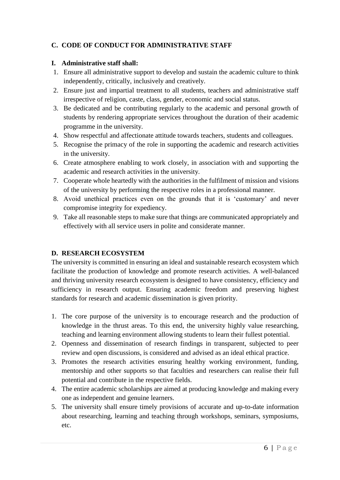### **C. CODE OF CONDUCT FOR ADMINISTRATIVE STAFF**

#### **I. Administrative staff shall:**

- 1. Ensure all administrative support to develop and sustain the academic culture to think independently, critically, inclusively and creatively.
- 2. Ensure just and impartial treatment to all students, teachers and administrative staff irrespective of religion, caste, class, gender, economic and social status.
- 3. Be dedicated and be contributing regularly to the academic and personal growth of students by rendering appropriate services throughout the duration of their academic programme in the university.
- 4. Show respectful and affectionate attitude towards teachers, students and colleagues.
- 5. Recognise the primacy of the role in supporting the academic and research activities in the university.
- 6. Create atmosphere enabling to work closely, in association with and supporting the academic and research activities in the university.
- 7. Cooperate whole heartedly with the authorities in the fulfilment of mission and visions of the university by performing the respective roles in a professional manner.
- 8. Avoid unethical practices even on the grounds that it is 'customary' and never compromise integrity for expediency.
- 9. Take all reasonable steps to make sure that things are communicated appropriately and effectively with all service users in polite and considerate manner.

### **D. RESEARCH ECOSYSTEM**

The university is committed in ensuring an ideal and sustainable research ecosystem which facilitate the production of knowledge and promote research activities. A well-balanced and thriving university research ecosystem is designed to have consistency, efficiency and sufficiency in research output. Ensuring academic freedom and preserving highest standards for research and academic dissemination is given priority.

- 1. The core purpose of the university is to encourage research and the production of knowledge in the thrust areas. To this end, the university highly value researching, teaching and learning environment allowing students to learn their fullest potential.
- 2. Openness and dissemination of research findings in transparent, subjected to peer review and open discussions, is considered and advised as an ideal ethical practice.
- 3. Promotes the research activities ensuring healthy working environment, funding, mentorship and other supports so that faculties and researchers can realise their full potential and contribute in the respective fields.
- 4. The entire academic scholarships are aimed at producing knowledge and making every one as independent and genuine learners.
- 5. The university shall ensure timely provisions of accurate and up-to-date information about researching, learning and teaching through workshops, seminars, symposiums, etc.